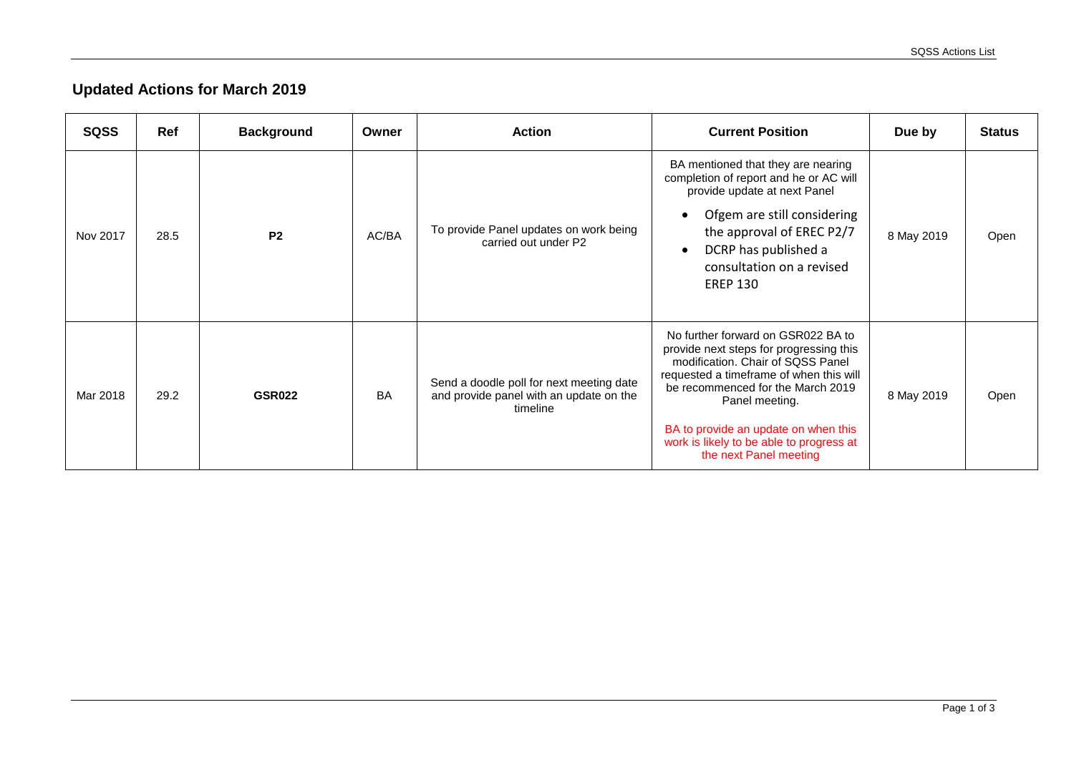## **Updated Actions for March 2019**

| <b>SQSS</b> | Ref  | <b>Background</b> | Owner     | <b>Action</b>                                                                                   | <b>Current Position</b>                                                                                                                                                                                                                                                                                                            | Due by     | <b>Status</b> |
|-------------|------|-------------------|-----------|-------------------------------------------------------------------------------------------------|------------------------------------------------------------------------------------------------------------------------------------------------------------------------------------------------------------------------------------------------------------------------------------------------------------------------------------|------------|---------------|
| Nov 2017    | 28.5 | <b>P2</b>         | AC/BA     | To provide Panel updates on work being<br>carried out under P2                                  | BA mentioned that they are nearing<br>completion of report and he or AC will<br>provide update at next Panel<br>Ofgem are still considering<br>$\bullet$<br>the approval of EREC P2/7<br>DCRP has published a<br>$\bullet$<br>consultation on a revised<br><b>EREP 130</b>                                                         | 8 May 2019 | Open          |
| Mar 2018    | 29.2 | <b>GSR022</b>     | <b>BA</b> | Send a doodle poll for next meeting date<br>and provide panel with an update on the<br>timeline | No further forward on GSR022 BA to<br>provide next steps for progressing this<br>modification. Chair of SQSS Panel<br>requested a timeframe of when this will<br>be recommenced for the March 2019<br>Panel meeting.<br>BA to provide an update on when this<br>work is likely to be able to progress at<br>the next Panel meeting | 8 May 2019 | Open          |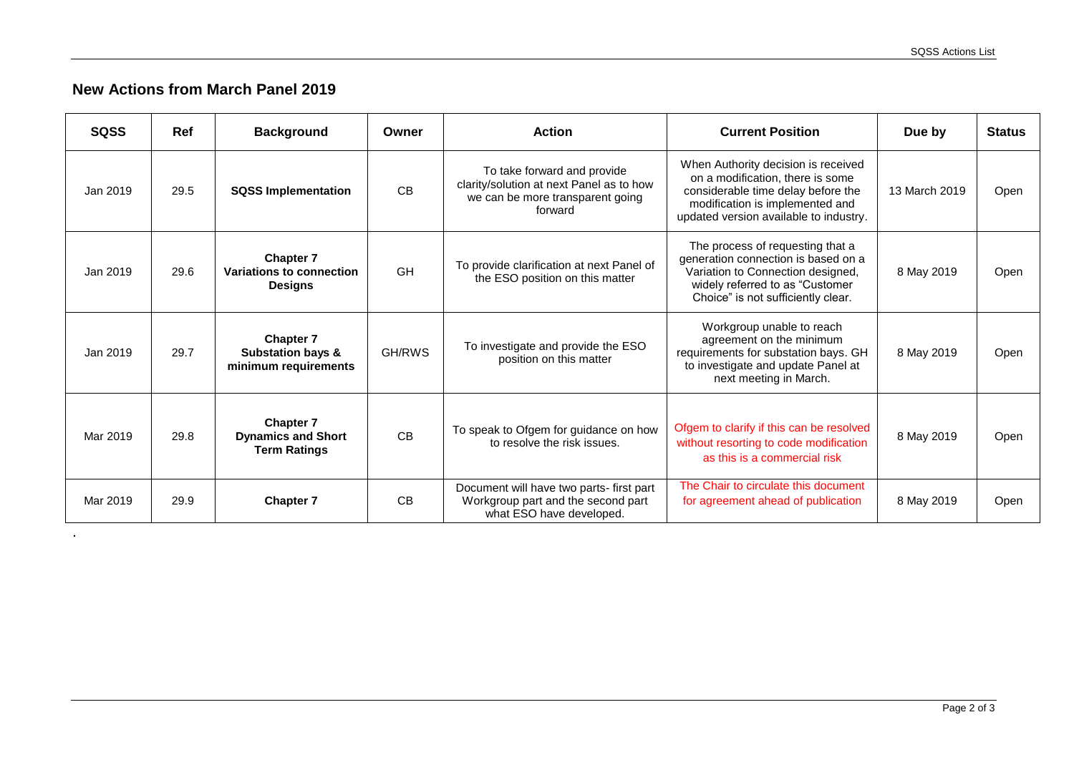## **New Actions from March Panel 2019**

.

| <b>SQSS</b> | <b>Ref</b> | <b>Background</b>                                                        | Owner     | <b>Action</b>                                                                                                          | <b>Current Position</b>                                                                                                                                                                    | Due by        | <b>Status</b> |
|-------------|------------|--------------------------------------------------------------------------|-----------|------------------------------------------------------------------------------------------------------------------------|--------------------------------------------------------------------------------------------------------------------------------------------------------------------------------------------|---------------|---------------|
| Jan 2019    | 29.5       | <b>SQSS Implementation</b>                                               | <b>CB</b> | To take forward and provide<br>clarity/solution at next Panel as to how<br>we can be more transparent going<br>forward | When Authority decision is received<br>on a modification, there is some<br>considerable time delay before the<br>modification is implemented and<br>updated version available to industry. | 13 March 2019 | Open          |
| Jan 2019    | 29.6       | <b>Chapter 7</b><br>Variations to connection<br><b>Designs</b>           | <b>GH</b> | To provide clarification at next Panel of<br>the ESO position on this matter                                           | The process of requesting that a<br>generation connection is based on a<br>Variation to Connection designed,<br>widely referred to as "Customer<br>Choice" is not sufficiently clear.      | 8 May 2019    | Open          |
| Jan 2019    | 29.7       | <b>Chapter 7</b><br><b>Substation bays &amp;</b><br>minimum requirements | GH/RWS    | To investigate and provide the ESO<br>position on this matter                                                          | Workgroup unable to reach<br>agreement on the minimum<br>requirements for substation bays. GH<br>to investigate and update Panel at<br>next meeting in March.                              | 8 May 2019    | Open          |
| Mar 2019    | 29.8       | <b>Chapter 7</b><br><b>Dynamics and Short</b><br><b>Term Ratings</b>     | <b>CB</b> | To speak to Ofgem for guidance on how<br>to resolve the risk issues.                                                   | Ofgem to clarify if this can be resolved<br>without resorting to code modification<br>as this is a commercial risk                                                                         | 8 May 2019    | Open          |
| Mar 2019    | 29.9       | <b>Chapter 7</b>                                                         | CB        | Document will have two parts- first part<br>Workgroup part and the second part<br>what ESO have developed.             | The Chair to circulate this document<br>for agreement ahead of publication                                                                                                                 | 8 May 2019    | Open          |